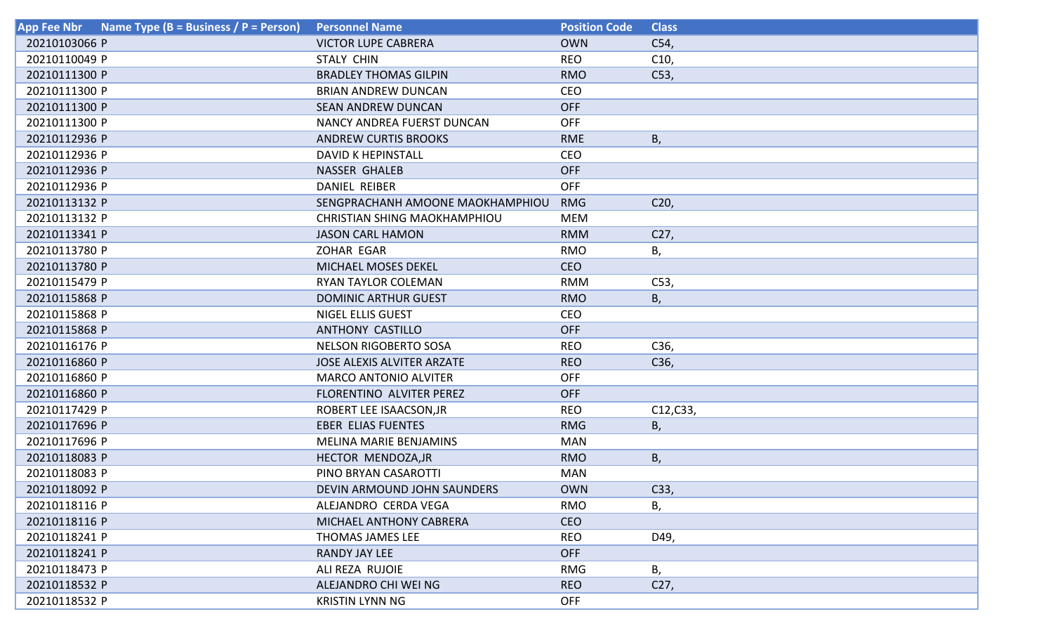| Name Type ( $B = Business / P = Person$ )<br><b>App Fee Nbr</b> | <b>Personnel Name</b>               | <b>Position Code</b> | <b>Class</b>    |
|-----------------------------------------------------------------|-------------------------------------|----------------------|-----------------|
| 20210103066 P                                                   | <b>VICTOR LUPE CABRERA</b>          | <b>OWN</b>           | C54,            |
| 20210110049 P                                                   | <b>STALY CHIN</b>                   | <b>REO</b>           | C10,            |
| 20210111300 P                                                   | <b>BRADLEY THOMAS GILPIN</b>        | <b>RMO</b>           | C53,            |
| 20210111300 P                                                   | <b>BRIAN ANDREW DUNCAN</b>          | <b>CEO</b>           |                 |
| 20210111300 P                                                   | <b>SEAN ANDREW DUNCAN</b>           | <b>OFF</b>           |                 |
| 20210111300 P                                                   | NANCY ANDREA FUERST DUNCAN          | <b>OFF</b>           |                 |
| 20210112936 P                                                   | <b>ANDREW CURTIS BROOKS</b>         | <b>RME</b>           | Β,              |
| 20210112936 P                                                   | <b>DAVID K HEPINSTALL</b>           | CEO                  |                 |
| 20210112936 P                                                   | <b>NASSER GHALEB</b>                | <b>OFF</b>           |                 |
| 20210112936 P                                                   | <b>DANIEL REIBER</b>                | <b>OFF</b>           |                 |
| 20210113132 P                                                   | SENGPRACHANH AMOONE MAOKHAMPHIOU    | <b>RMG</b>           | C <sub>20</sub> |
| 20210113132 P                                                   | <b>CHRISTIAN SHING MAOKHAMPHIOU</b> | <b>MEM</b>           |                 |
| 20210113341 P                                                   | <b>JASON CARL HAMON</b>             | <b>RMM</b>           | C27,            |
| 20210113780 P                                                   | ZOHAR EGAR                          | <b>RMO</b>           | Β,              |
| 20210113780 P                                                   | MICHAEL MOSES DEKEL                 | <b>CEO</b>           |                 |
| 20210115479 P                                                   | <b>RYAN TAYLOR COLEMAN</b>          | <b>RMM</b>           | C53,            |
| 20210115868 P                                                   | <b>DOMINIC ARTHUR GUEST</b>         | <b>RMO</b>           | В,              |
| 20210115868 P                                                   | <b>NIGEL ELLIS GUEST</b>            | CEO                  |                 |
| 20210115868 P                                                   | <b>ANTHONY CASTILLO</b>             | <b>OFF</b>           |                 |
| 20210116176 P                                                   | <b>NELSON RIGOBERTO SOSA</b>        | <b>REO</b>           | C36,            |
| 20210116860 P                                                   | <b>JOSE ALEXIS ALVITER ARZATE</b>   | <b>REO</b>           | C36,            |
| 20210116860 P                                                   | <b>MARCO ANTONIO ALVITER</b>        | <b>OFF</b>           |                 |
| 20210116860 P                                                   | FLORENTINO ALVITER PEREZ            | <b>OFF</b>           |                 |
| 20210117429 P                                                   | ROBERT LEE ISAACSON, JR             | <b>REO</b>           | C12,C33,        |
| 20210117696 P                                                   | <b>EBER ELIAS FUENTES</b>           | <b>RMG</b>           | Β,              |
| 20210117696 P                                                   | <b>MELINA MARIE BENJAMINS</b>       | <b>MAN</b>           |                 |
| 20210118083 P                                                   | HECTOR MENDOZA, JR                  | <b>RMO</b>           | Β,              |
| 20210118083 P                                                   | PINO BRYAN CASAROTTI                | <b>MAN</b>           |                 |
| 20210118092 P                                                   | DEVIN ARMOUND JOHN SAUNDERS         | <b>OWN</b>           | C33,            |
| 20210118116 P                                                   | ALEJANDRO CERDA VEGA                | RMO                  | В,              |
| 20210118116 P                                                   | MICHAEL ANTHONY CABRERA             | <b>CEO</b>           |                 |
| 20210118241 P                                                   | THOMAS JAMES LEE                    | <b>REO</b>           | D49,            |
| 20210118241 P                                                   | <b>RANDY JAY LEE</b>                | <b>OFF</b>           |                 |
| 20210118473 P                                                   | ALI REZA RUJOIE                     | <b>RMG</b>           | В,              |
| 20210118532 P                                                   | ALEJANDRO CHI WEI NG                | <b>REO</b>           | C27,            |
| 20210118532 P                                                   | <b>KRISTIN LYNN NG</b>              | <b>OFF</b>           |                 |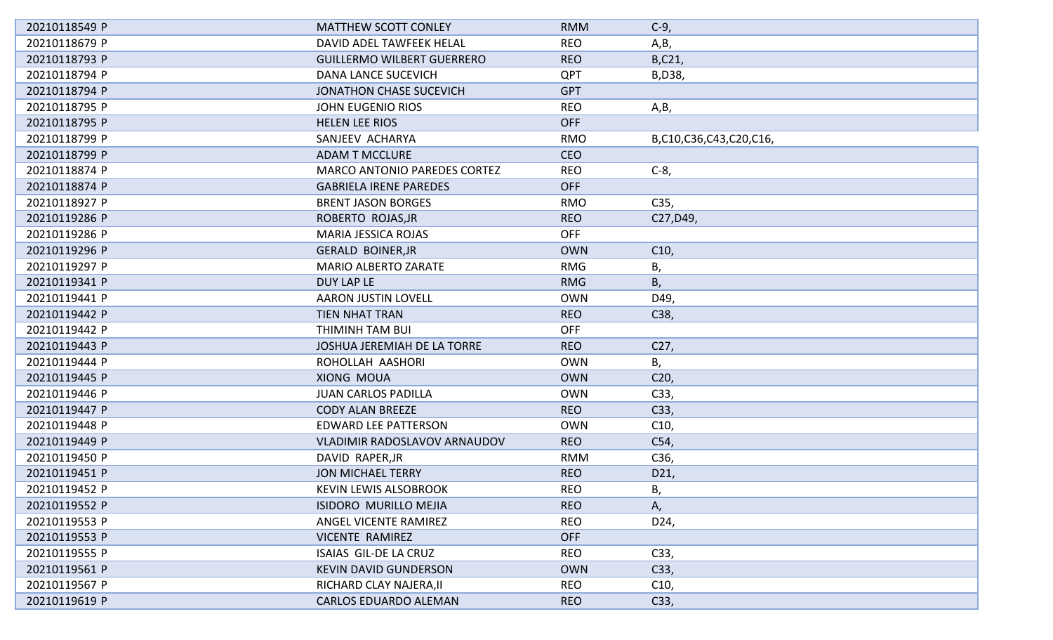| 20210118549 P | <b>MATTHEW SCOTT CONLEY</b>         | <b>RMM</b> | $C-9$                  |
|---------------|-------------------------------------|------------|------------------------|
| 20210118679 P | DAVID ADEL TAWFEEK HELAL            | <b>REO</b> | A,B,                   |
| 20210118793 P | <b>GUILLERMO WILBERT GUERRERO</b>   | <b>REO</b> | B,C21,                 |
| 20210118794 P | <b>DANA LANCE SUCEVICH</b>          | QPT        | B, D38,                |
| 20210118794 P | <b>JONATHON CHASE SUCEVICH</b>      | <b>GPT</b> |                        |
| 20210118795 P | <b>JOHN EUGENIO RIOS</b>            | <b>REO</b> | A,B,                   |
| 20210118795 P | <b>HELEN LEE RIOS</b>               | <b>OFF</b> |                        |
| 20210118799 P | SANJEEV ACHARYA                     | <b>RMO</b> | B,C10,C36,C43,C20,C16, |
| 20210118799 P | <b>ADAM T MCCLURE</b>               | <b>CEO</b> |                        |
| 20210118874 P | <b>MARCO ANTONIO PAREDES CORTEZ</b> | <b>REO</b> | $C-8$ ,                |
| 20210118874 P | <b>GABRIELA IRENE PAREDES</b>       | <b>OFF</b> |                        |
| 20210118927 P | <b>BRENT JASON BORGES</b>           | <b>RMO</b> | C35,                   |
| 20210119286 P | ROBERTO ROJAS, JR                   | <b>REO</b> | C27, D49,              |
| 20210119286 P | <b>MARIA JESSICA ROJAS</b>          | <b>OFF</b> |                        |
| 20210119296 P | <b>GERALD BOINER, JR</b>            | <b>OWN</b> | C10,                   |
| 20210119297 P | <b>MARIO ALBERTO ZARATE</b>         | <b>RMG</b> | Β,                     |
| 20210119341 P | <b>DUY LAP LE</b>                   | <b>RMG</b> | B,                     |
| 20210119441 P | <b>AARON JUSTIN LOVELL</b>          | <b>OWN</b> | D49,                   |
| 20210119442 P | <b>TIEN NHAT TRAN</b>               | <b>REO</b> | C38,                   |
| 20210119442 P | THIMINH TAM BUI                     | <b>OFF</b> |                        |
| 20210119443 P | JOSHUA JEREMIAH DE LA TORRE         | <b>REO</b> | C27,                   |
| 20210119444 P | ROHOLLAH AASHORI                    | <b>OWN</b> | В,                     |
| 20210119445 P | XIONG MOUA                          | <b>OWN</b> | C20,                   |
| 20210119446 P | <b>JUAN CARLOS PADILLA</b>          | <b>OWN</b> | C33,                   |
| 20210119447 P | <b>CODY ALAN BREEZE</b>             | <b>REO</b> | C33,                   |
| 20210119448 P | <b>EDWARD LEE PATTERSON</b>         | <b>OWN</b> | C10,                   |
| 20210119449 P | VLADIMIR RADOSLAVOV ARNAUDOV        | <b>REO</b> | C54,                   |
| 20210119450 P | DAVID RAPER, JR                     | <b>RMM</b> | C36,                   |
| 20210119451 P | <b>JON MICHAEL TERRY</b>            | <b>REO</b> | D21,                   |
| 20210119452 P | KEVIN LEWIS ALSOBROOK               | <b>REO</b> | Β,                     |
| 20210119552 P | <b>ISIDORO MURILLO MEJIA</b>        | <b>REO</b> | Α,                     |
| 20210119553 P | ANGEL VICENTE RAMIREZ               | <b>REO</b> | D24,                   |
| 20210119553 P | VICENTE RAMIREZ                     | <b>OFF</b> |                        |
| 20210119555 P | ISAIAS GIL-DE LA CRUZ               | <b>REO</b> | C33,                   |
| 20210119561 P | <b>KEVIN DAVID GUNDERSON</b>        | <b>OWN</b> | C33,                   |
| 20210119567 P | RICHARD CLAY NAJERA, II             | <b>REO</b> | C10,                   |
| 20210119619 P | <b>CARLOS EDUARDO ALEMAN</b>        | <b>REO</b> | C33,                   |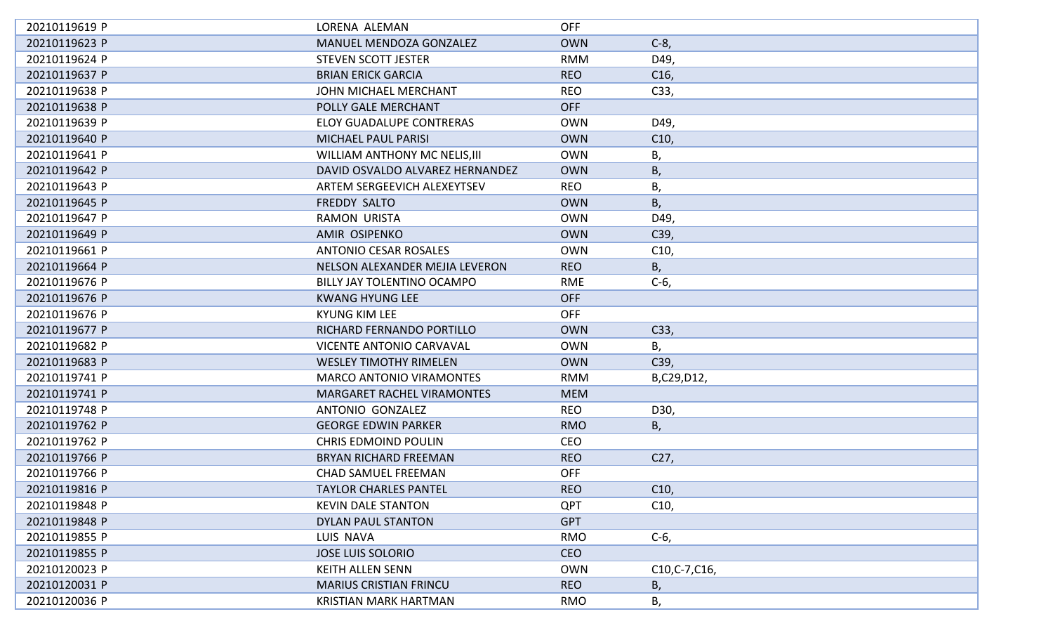| 20210119619 P | LORENA ALEMAN                     | <b>OFF</b> |                 |
|---------------|-----------------------------------|------------|-----------------|
| 20210119623 P | MANUEL MENDOZA GONZALEZ           | <b>OWN</b> | $C-8$           |
| 20210119624 P | <b>STEVEN SCOTT JESTER</b>        | <b>RMM</b> | D49,            |
| 20210119637 P | <b>BRIAN ERICK GARCIA</b>         | <b>REO</b> | C <sub>16</sub> |
| 20210119638 P | JOHN MICHAEL MERCHANT             | <b>REO</b> | C33,            |
| 20210119638 P | POLLY GALE MERCHANT               | <b>OFF</b> |                 |
| 20210119639 P | <b>ELOY GUADALUPE CONTRERAS</b>   | <b>OWN</b> | D49,            |
| 20210119640 P | <b>MICHAEL PAUL PARISI</b>        | <b>OWN</b> | C10,            |
| 20210119641 P | WILLIAM ANTHONY MC NELIS, III     | <b>OWN</b> | В,              |
| 20210119642 P | DAVID OSVALDO ALVAREZ HERNANDEZ   | <b>OWN</b> | Β,              |
| 20210119643 P | ARTEM SERGEEVICH ALEXEYTSEV       | <b>REO</b> | В,              |
| 20210119645 P | FREDDY SALTO                      | <b>OWN</b> | В,              |
| 20210119647 P | <b>RAMON URISTA</b>               | <b>OWN</b> | D49,            |
| 20210119649 P | AMIR OSIPENKO                     | <b>OWN</b> | C39,            |
| 20210119661 P | <b>ANTONIO CESAR ROSALES</b>      | <b>OWN</b> | C <sub>10</sub> |
| 20210119664 P | NELSON ALEXANDER MEJIA LEVERON    | <b>REO</b> | В,              |
| 20210119676 P | BILLY JAY TOLENTINO OCAMPO        | RME        | $C-6$ ,         |
| 20210119676 P | <b>KWANG HYUNG LEE</b>            | <b>OFF</b> |                 |
| 20210119676 P | <b>KYUNG KIM LEE</b>              | <b>OFF</b> |                 |
| 20210119677 P | RICHARD FERNANDO PORTILLO         | <b>OWN</b> | C33,            |
| 20210119682 P | <b>VICENTE ANTONIO CARVAVAL</b>   | <b>OWN</b> | Β,              |
| 20210119683 P | <b>WESLEY TIMOTHY RIMELEN</b>     | <b>OWN</b> | C39,            |
| 20210119741 P | <b>MARCO ANTONIO VIRAMONTES</b>   | <b>RMM</b> | B,C29,D12,      |
| 20210119741 P | <b>MARGARET RACHEL VIRAMONTES</b> | <b>MEM</b> |                 |
| 20210119748 P | ANTONIO GONZALEZ                  | <b>REO</b> | D30,            |
| 20210119762 P | <b>GEORGE EDWIN PARKER</b>        | <b>RMO</b> | Β,              |
| 20210119762 P | <b>CHRIS EDMOIND POULIN</b>       | CEO        |                 |
| 20210119766 P | <b>BRYAN RICHARD FREEMAN</b>      | <b>REO</b> | C <sub>27</sub> |
| 20210119766 P | <b>CHAD SAMUEL FREEMAN</b>        | <b>OFF</b> |                 |
| 20210119816 P | TAYLOR CHARLES PANTEL             | <b>REO</b> | C <sub>10</sub> |
| 20210119848 P | <b>KEVIN DALE STANTON</b>         | <b>QPT</b> | C10,            |
| 20210119848 P | DYLAN PAUL STANTON                | <b>GPT</b> |                 |
| 20210119855 P | LUIS NAVA                         | RMO        | $C-6$ ,         |
| 20210119855 P | <b>JOSE LUIS SOLORIO</b>          | <b>CEO</b> |                 |
| 20210120023 P | <b>KEITH ALLEN SENN</b>           | <b>OWN</b> | C10, C-7, C16,  |
| 20210120031 P | <b>MARIUS CRISTIAN FRINCU</b>     | <b>REO</b> | Β,              |
| 20210120036 P | <b>KRISTIAN MARK HARTMAN</b>      | <b>RMO</b> | В,              |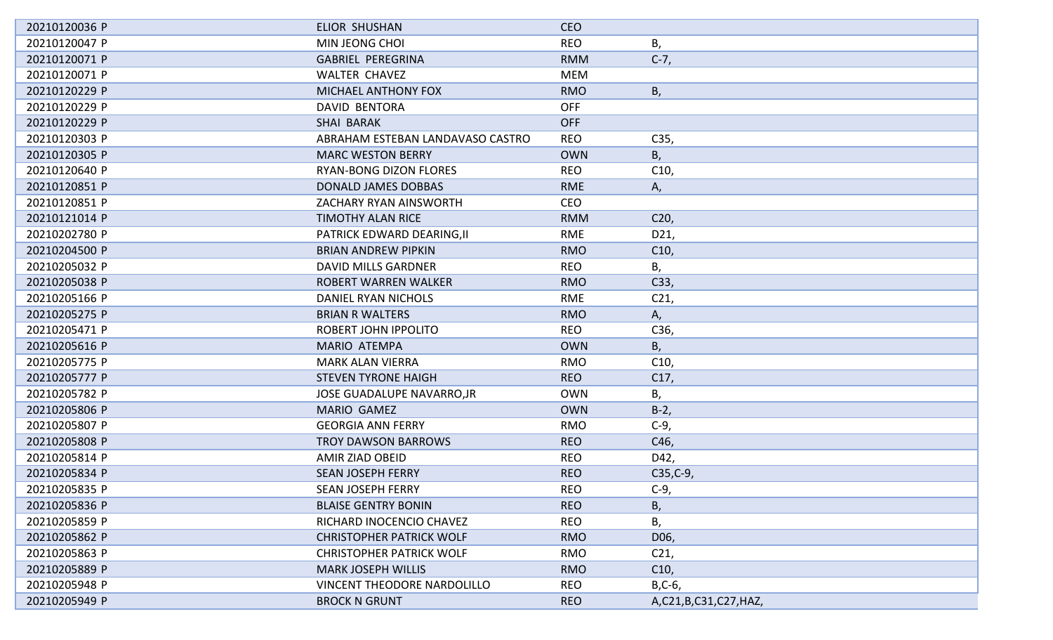| 20210120036 P | <b>ELIOR SHUSHAN</b>               | <b>CEO</b> |                      |
|---------------|------------------------------------|------------|----------------------|
| 20210120047 P | MIN JEONG CHOI                     | <b>REO</b> | Β,                   |
| 20210120071 P | <b>GABRIEL PEREGRINA</b>           | <b>RMM</b> | $C-7,$               |
| 20210120071 P | <b>WALTER CHAVEZ</b>               | <b>MEM</b> |                      |
| 20210120229 P | MICHAEL ANTHONY FOX                | <b>RMO</b> | В,                   |
| 20210120229 P | <b>DAVID BENTORA</b>               | <b>OFF</b> |                      |
| 20210120229 P | <b>SHAI BARAK</b>                  | <b>OFF</b> |                      |
| 20210120303 P | ABRAHAM ESTEBAN LANDAVASO CASTRO   | <b>REO</b> | C35,                 |
| 20210120305 P | <b>MARC WESTON BERRY</b>           | <b>OWN</b> | Β,                   |
| 20210120640 P | <b>RYAN-BONG DIZON FLORES</b>      | <b>REO</b> | C10,                 |
| 20210120851 P | <b>DONALD JAMES DOBBAS</b>         | <b>RME</b> | А,                   |
| 20210120851 P | ZACHARY RYAN AINSWORTH             | <b>CEO</b> |                      |
| 20210121014 P | <b>TIMOTHY ALAN RICE</b>           | <b>RMM</b> | C <sub>20</sub>      |
| 20210202780 P | PATRICK EDWARD DEARING, II         | <b>RME</b> | D21,                 |
| 20210204500 P | <b>BRIAN ANDREW PIPKIN</b>         | <b>RMO</b> | C10,                 |
| 20210205032 P | <b>DAVID MILLS GARDNER</b>         | <b>REO</b> | В,                   |
| 20210205038 P | ROBERT WARREN WALKER               | <b>RMO</b> | C33,                 |
| 20210205166 P | DANIEL RYAN NICHOLS                | <b>RME</b> | C <sub>21</sub>      |
| 20210205275 P | <b>BRIAN R WALTERS</b>             | <b>RMO</b> | А,                   |
| 20210205471 P | ROBERT JOHN IPPOLITO               | <b>REO</b> | C36,                 |
| 20210205616 P | <b>MARIO ATEMPA</b>                | <b>OWN</b> | В,                   |
| 20210205775 P | <b>MARK ALAN VIERRA</b>            | <b>RMO</b> | C10,                 |
| 20210205777 P | <b>STEVEN TYRONE HAIGH</b>         | <b>REO</b> | C17,                 |
| 20210205782 P | <b>JOSE GUADALUPE NAVARRO, JR</b>  | <b>OWN</b> | Β,                   |
| 20210205806 P | <b>MARIO GAMEZ</b>                 | <b>OWN</b> | $B-2$                |
| 20210205807 P | <b>GEORGIA ANN FERRY</b>           | <b>RMO</b> | $C-9$                |
| 20210205808 P | <b>TROY DAWSON BARROWS</b>         | <b>REO</b> | C46,                 |
| 20210205814 P | <b>AMIR ZIAD OBEID</b>             | <b>REO</b> | D42,                 |
| 20210205834 P | <b>SEAN JOSEPH FERRY</b>           | <b>REO</b> | $C35, C-9,$          |
| 20210205835 P | <b>SEAN JOSEPH FERRY</b>           | <b>REO</b> | $C-9$                |
| 20210205836 P | <b>BLAISE GENTRY BONIN</b>         | <b>REO</b> | В,                   |
| 20210205859 P | RICHARD INOCENCIO CHAVEZ           | <b>REO</b> | Β,                   |
| 20210205862 P | <b>CHRISTOPHER PATRICK WOLF</b>    | <b>RMO</b> | D06,                 |
| 20210205863 P | <b>CHRISTOPHER PATRICK WOLF</b>    | <b>RMO</b> | C <sub>21</sub>      |
| 20210205889 P | <b>MARK JOSEPH WILLIS</b>          | <b>RMO</b> | C10,                 |
| 20210205948 P | <b>VINCENT THEODORE NARDOLILLO</b> | <b>REO</b> | $B, C-6,$            |
| 20210205949 P | <b>BROCK N GRUNT</b>               | <b>REO</b> | A,C21,B,C31,C27,HAZ, |